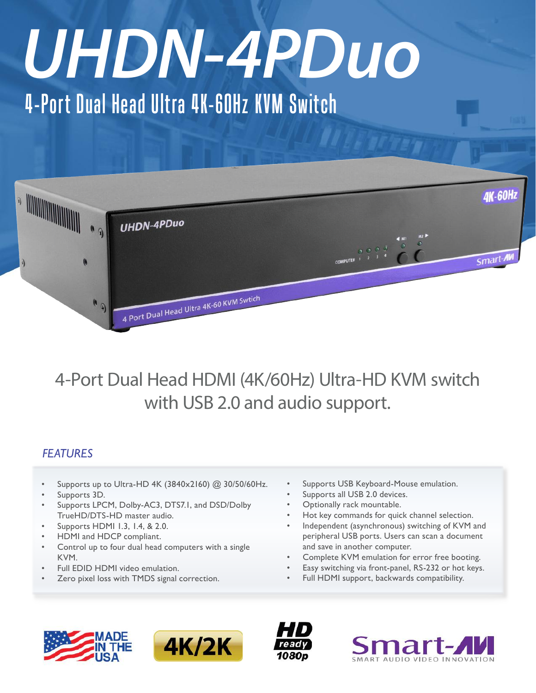# *UHDN-4PDuo*

## 4-Port Dual Head Ultra 4K-60Hz KVM Switch



### 4-Port Dual Head HDMI (4K/60Hz) Ultra-HD KVM switch with USB 2.0 and audio support.

#### *FEATURES*

- Supports up to Ultra-HD 4K (3840x2160) @ 30/50/60Hz.
- Supports 3D.
- Supports LPCM, Dolby-AC3, DTS7.1, and DSD/Dolby TrueHD/DTS-HD master audio.
- Supports HDMI 1.3, 1.4, & 2.0.
- HDMI and HDCP compliant.
- Control up to four dual head computers with a single KVM.
- Full EDID HDMI video emulation.
- Zero pixel loss with TMDS signal correction.
- Supports USB Keyboard-Mouse emulation.
- Supports all USB 2.0 devices.
- Optionally rack mountable.
- Hot key commands for quick channel selection.
- Independent (asynchronous) switching of KVM and peripheral USB ports. Users can scan a document and save in another computer.
- Complete KVM emulation for error free booting.
- Easy switching via front-panel, RS-232 or hot keys.
- Full HDMI support, backwards compatibility.







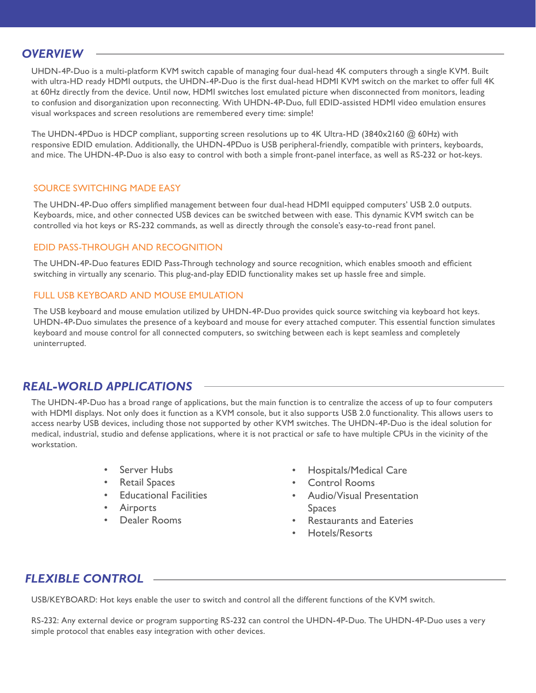#### *OVERVIEW*

UHDN-4P-Duo is a multi-platform KVM switch capable of managing four dual-head 4K computers through a single KVM. Built with ultra-HD ready HDMI outputs, the UHDN-4P-Duo is the first dual-head HDMI KVM switch on the market to offer full 4K at 60Hz directly from the device. Until now, HDMI switches lost emulated picture when disconnected from monitors, leading to confusion and disorganization upon reconnecting. With UHDN-4P-Duo, full EDID-assisted HDMI video emulation ensures visual workspaces and screen resolutions are remembered every time: simple!

The UHDN-4PDuo is HDCP compliant, supporting screen resolutions up to 4K Ultra-HD (3840x2160 @ 60Hz) with responsive EDID emulation. Additionally, the UHDN-4PDuo is USB peripheral-friendly, compatible with printers, keyboards, and mice. The UHDN-4P-Duo is also easy to control with both a simple front-panel interface, as well as RS-232 or hot-keys.

#### SOURCE SWITCHING MADE EASY

The UHDN-4P-Duo offers simplified management between four dual-head HDMI equipped computers' USB 2.0 outputs. Keyboards, mice, and other connected USB devices can be switched between with ease. This dynamic KVM switch can be controlled via hot keys or RS-232 commands, as well as directly through the console's easy-to-read front panel.

#### EDID PASS-THROUGH AND RECOGNITION

The UHDN-4P-Duo features EDID Pass-Through technology and source recognition, which enables smooth and efficient switching in virtually any scenario. This plug-and-play EDID functionality makes set up hassle free and simple.

#### FULL USB KEYBOARD AND MOUSE FMULATION

The USB keyboard and mouse emulation utilized by UHDN-4P-Duo provides quick source switching via keyboard hot keys. UHDN-4P-Duo simulates the presence of a keyboard and mouse for every attached computer. This essential function simulates keyboard and mouse control for all connected computers, so switching between each is kept seamless and completely uninterrupted.

#### *REAL-WORLD APPLICATIONS*

The UHDN-4P-Duo has a broad range of applications, but the main function is to centralize the access of up to four computers with HDMI displays. Not only does it function as a KVM console, but it also supports USB 2.0 functionality. This allows users to access nearby USB devices, including those not supported by other KVM switches. The UHDN-4P-Duo is the ideal solution for medical, industrial, studio and defense applications, where it is not practical or safe to have multiple CPUs in the vicinity of the workstation.

- Server Hubs
- **Retail Spaces**
- **Educational Facilities**
- **Airports**
- Dealer Rooms
- **Hospitals/Medical Care**
- Control Rooms
- • Audio/Visual Presentation Spaces
- **Restaurants and Eateries**
- Hotels/Resorts

#### *FLEXIBLE CONTROL*

USB/KEYBOARD: Hot keys enable the user to switch and control all the different functions of the KVM switch.

RS-232: Any external device or program supporting RS-232 can control the UHDN-4P-Duo. The UHDN-4P-Duo uses a very simple protocol that enables easy integration with other devices.